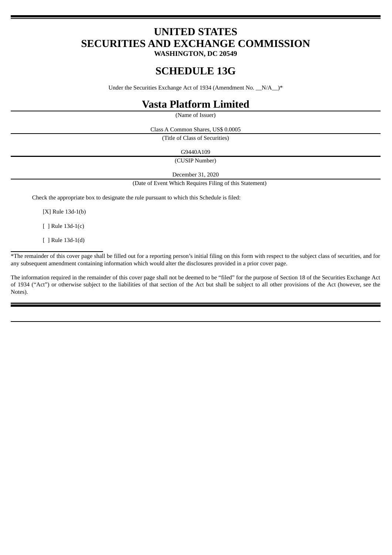# **UNITED STATES SECURITIES AND EXCHANGE COMMISSION**

**WASHINGTON, DC 20549**

# **SCHEDULE 13G**

Under the Securities Exchange Act of 1934 (Amendment No.  $N/A$ <sup>\*</sup>

## **Vasta Platform Limited**

(Name of Issuer)

Class A Common Shares, US\$ 0.0005

(Title of Class of Securities)

G9440A109

(CUSIP Number)

December 31, 2020

(Date of Event Which Requires Filing of this Statement)

Check the appropriate box to designate the rule pursuant to which this Schedule is filed:

[X] Rule 13d-1(b)

[ ] Rule 13d-1(c)

[ ] Rule 13d-1(d)

\*The remainder of this cover page shall be filled out for a reporting person's initial filing on this form with respect to the subject class of securities, and for any subsequent amendment containing information which would alter the disclosures provided in a prior cover page.

The information required in the remainder of this cover page shall not be deemed to be "filed" for the purpose of Section 18 of the Securities Exchange Act of 1934 ("Act") or otherwise subject to the liabilities of that section of the Act but shall be subject to all other provisions of the Act (however, see the Notes).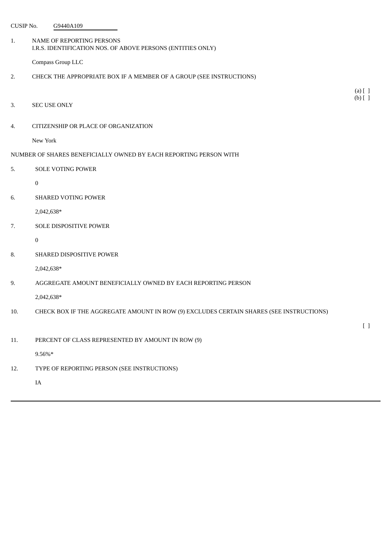| CUSIP No.                                                         | G9440A109                                                                                |                                 |  |  |
|-------------------------------------------------------------------|------------------------------------------------------------------------------------------|---------------------------------|--|--|
| 1.                                                                | NAME OF REPORTING PERSONS<br>I.R.S. IDENTIFICATION NOS. OF ABOVE PERSONS (ENTITIES ONLY) |                                 |  |  |
|                                                                   | Compass Group LLC                                                                        |                                 |  |  |
| 2.                                                                | CHECK THE APPROPRIATE BOX IF A MEMBER OF A GROUP (SEE INSTRUCTIONS)                      |                                 |  |  |
|                                                                   |                                                                                          | $(a)$ $[$ $]$                   |  |  |
| 3.                                                                | <b>SEC USE ONLY</b>                                                                      | $(b)$ [ ]                       |  |  |
| 4.                                                                | CITIZENSHIP OR PLACE OF ORGANIZATION                                                     |                                 |  |  |
|                                                                   | New York                                                                                 |                                 |  |  |
| NUMBER OF SHARES BENEFICIALLY OWNED BY EACH REPORTING PERSON WITH |                                                                                          |                                 |  |  |
| 5.                                                                | <b>SOLE VOTING POWER</b>                                                                 |                                 |  |  |
|                                                                   | $\boldsymbol{0}$                                                                         |                                 |  |  |
| 6.                                                                | <b>SHARED VOTING POWER</b>                                                               |                                 |  |  |
|                                                                   | 2,042,638*                                                                               |                                 |  |  |
| 7.                                                                | SOLE DISPOSITIVE POWER                                                                   |                                 |  |  |
|                                                                   | $\bf{0}$                                                                                 |                                 |  |  |
| 8.                                                                | SHARED DISPOSITIVE POWER                                                                 |                                 |  |  |
|                                                                   | 2,042,638*                                                                               |                                 |  |  |
| 9.                                                                | AGGREGATE AMOUNT BENEFICIALLY OWNED BY EACH REPORTING PERSON                             |                                 |  |  |
|                                                                   | 2,042,638*                                                                               |                                 |  |  |
| 10.                                                               | CHECK BOX IF THE AGGREGATE AMOUNT IN ROW (9) EXCLUDES CERTAIN SHARES (SEE INSTRUCTIONS)  |                                 |  |  |
|                                                                   |                                                                                          | $\begin{bmatrix} \end{bmatrix}$ |  |  |
| 11.                                                               | PERCENT OF CLASS REPRESENTED BY AMOUNT IN ROW (9)                                        |                                 |  |  |
|                                                                   | $9.56\%*$                                                                                |                                 |  |  |
| 12.                                                               | TYPE OF REPORTING PERSON (SEE INSTRUCTIONS)                                              |                                 |  |  |
|                                                                   | IA                                                                                       |                                 |  |  |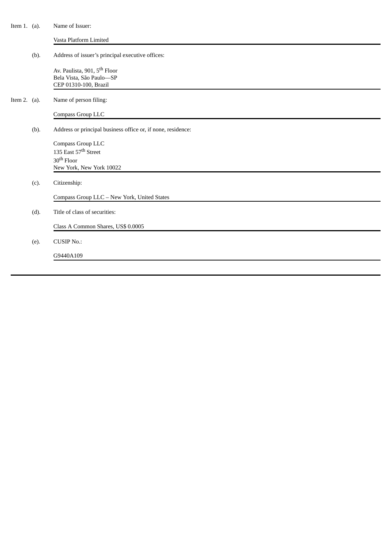| Item 1. $(a)$ . |      | Name of Issuer:                                                                               |
|-----------------|------|-----------------------------------------------------------------------------------------------|
|                 |      | Vasta Platform Limited                                                                        |
|                 | (b). | Address of issuer's principal executive offices:                                              |
|                 |      | Av. Paulista, 901, 5 <sup>th</sup> Floor<br>Bela Vista, São Paulo-SP<br>CEP 01310-100, Brazil |
| Item 2. $(a)$ . |      | Name of person filing:                                                                        |
|                 |      | Compass Group LLC                                                                             |
|                 | (b). | Address or principal business office or, if none, residence:                                  |
|                 |      | Compass Group LLC                                                                             |
|                 |      | 135 East 57 <sup>th</sup> Street                                                              |
|                 |      | 30 <sup>th</sup> Floor                                                                        |
|                 |      | New York, New York 10022                                                                      |
|                 | (c). | Citizenship:                                                                                  |
|                 |      | Compass Group LLC - New York, United States                                                   |
|                 | (d). | Title of class of securities:                                                                 |
|                 |      | Class A Common Shares, US\$ 0.0005                                                            |
|                 | (e). | <b>CUSIP No.:</b>                                                                             |
|                 |      | G9440A109                                                                                     |
|                 |      |                                                                                               |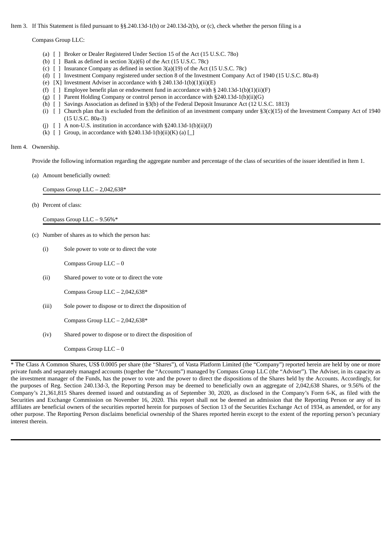Item 3. If This Statement is filed pursuant to §§.240.13d-1(b) or 240.13d-2(b), or (c), check whether the person filing is a

Compass Group LLC:

- (a) [ ] Broker or Dealer Registered Under Section 15 of the Act (15 U.S.C. 78o)
- (b)  $\lceil$  1 Bank as defined in section 3(a)(6) of the Act (15 U.S.C. 78c)
- (c) [ ] Insurance Company as defined in section 3(a)(19) of the Act (15 U.S.C. 78c)
- (d) [ ] Investment Company registered under section 8 of the Investment Company Act of 1940 (15 U.S.C. 80a-8)
- (e) [X] Investment Adviser in accordance with  $\S$  240.13d-1(b)(1)(ii)(E)
- (f)  $\left[ \right]$  Employee benefit plan or endowment fund in accordance with § 240.13d-1(b)(1)(ii)(F)
- (g)  $\begin{bmatrix} \ \ \end{bmatrix}$  Parent Holding Company or control person in accordance with §240.13d-1(b)(ii)(G)
- (h) [ ] Savings Association as defined in §3(b) of the Federal Deposit Insurance Act (12 U.S.C. 1813)
- (i)  $\lceil$  ] Church plan that is excluded from the definition of an investment company under §3(c)(15) of the Investment Company Act of 1940 (15 U.S.C. 80a-3)
- (j)  $[ ]$  A non-U.S. institution in accordance with §240.13d-1(b)(ii)(J)
- (k)  $\lceil$  ] Group, in accordance with §240.13d-1(b)(ii)(K) (a)  $\lceil$   $\lceil$

### Item 4. Ownership.

Provide the following information regarding the aggregate number and percentage of the class of securities of the issuer identified in Item 1.

(a) Amount beneficially owned:

Compass Group  $LLC - 2,042,638*$ 

(b) Percent of class:

Compass Group LLC – 9.56%\*

- (c) Number of shares as to which the person has:
	- (i) Sole power to vote or to direct the vote

Compass Group LLC – 0

(ii) Shared power to vote or to direct the vote

Compass Group LLC – 2,042,638\*

(iii) Sole power to dispose or to direct the disposition of

Compass Group  $LLC - 2,042,638*$ 

(iv) Shared power to dispose or to direct the disposition of

Compass Group LLC – 0

\* The Class A Common Shares, US\$ 0.0005 per share (the "Shares"), of Vasta Platform Limited (the "Company") reported herein are held by one or more private funds and separately managed accounts (together the "Accounts") managed by Compass Group LLC (the "Adviser"). The Adviser, in its capacity as the investment manager of the Funds, has the power to vote and the power to direct the dispositions of the Shares held by the Accounts. Accordingly, for the purposes of Reg. Section 240.13d-3, the Reporting Person may be deemed to beneficially own an aggregate of 2,042,638 Shares, or 9.56% of the Company's 21,361,815 Shares deemed issued and outstanding as of September 30, 2020, as disclosed in the Company's Form 6-K, as filed with the Securities and Exchange Commission on November 16, 2020. This report shall not be deemed an admission that the Reporting Person or any of its affiliates are beneficial owners of the securities reported herein for purposes of Section 13 of the Securities Exchange Act of 1934, as amended, or for any other purpose. The Reporting Person disclaims beneficial ownership of the Shares reported herein except to the extent of the reporting person's pecuniary interest therein.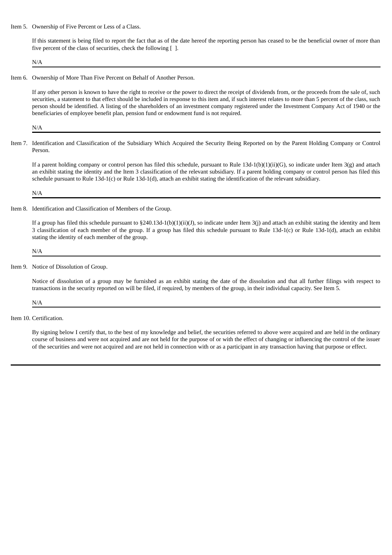Item 5. Ownership of Five Percent or Less of a Class.

If this statement is being filed to report the fact that as of the date hereof the reporting person has ceased to be the beneficial owner of more than five percent of the class of securities, check the following [ ].

N/A

Item 6. Ownership of More Than Five Percent on Behalf of Another Person.

If any other person is known to have the right to receive or the power to direct the receipt of dividends from, or the proceeds from the sale of, such securities, a statement to that effect should be included in response to this item and, if such interest relates to more than 5 percent of the class, such person should be identified. A listing of the shareholders of an investment company registered under the Investment Company Act of 1940 or the beneficiaries of employee benefit plan, pension fund or endowment fund is not required.

N/A

Item 7. Identification and Classification of the Subsidiary Which Acquired the Security Being Reported on by the Parent Holding Company or Control Person.

If a parent holding company or control person has filed this schedule, pursuant to Rule  $13d-1(b)(1)(ii)(G)$ , so indicate under Item  $3(g)$  and attach an exhibit stating the identity and the Item 3 classification of the relevant subsidiary. If a parent holding company or control person has filed this schedule pursuant to Rule 13d-1(c) or Rule 13d-1(d), attach an exhibit stating the identification of the relevant subsidiary.

N/A

Item 8. Identification and Classification of Members of the Group.

If a group has filed this schedule pursuant to  $\S240.13d-1(b)(1)(ii)(J)$ , so indicate under Item 3(j) and attach an exhibit stating the identity and Item 3 classification of each member of the group. If a group has filed this schedule pursuant to Rule 13d-1(c) or Rule 13d-1(d), attach an exhibit stating the identity of each member of the group.

#### N/A

Item 9. Notice of Dissolution of Group.

Notice of dissolution of a group may be furnished as an exhibit stating the date of the dissolution and that all further filings with respect to transactions in the security reported on will be filed, if required, by members of the group, in their individual capacity. See Item 5.

#### N/A

Item 10. Certification.

By signing below I certify that, to the best of my knowledge and belief, the securities referred to above were acquired and are held in the ordinary course of business and were not acquired and are not held for the purpose of or with the effect of changing or influencing the control of the issuer of the securities and were not acquired and are not held in connection with or as a participant in any transaction having that purpose or effect.